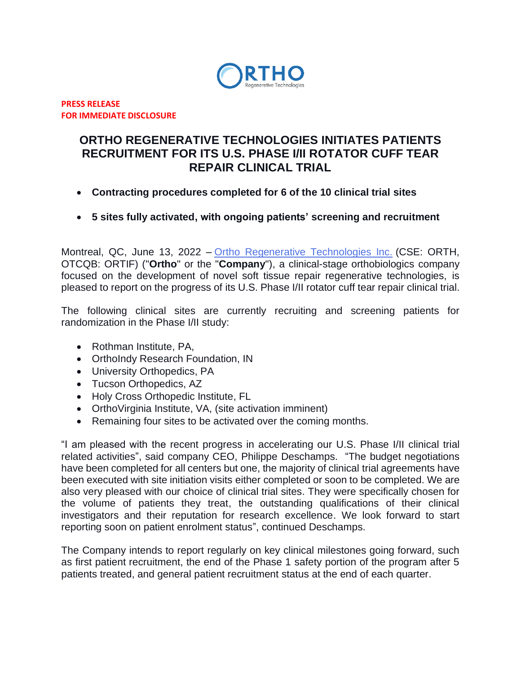

**PRESS RELEASE FOR IMMEDIATE DISCLOSURE**

# **ORTHO REGENERATIVE TECHNOLOGIES INITIATES PATIENTS RECRUITMENT FOR ITS U.S. PHASE I/II ROTATOR CUFF TEAR REPAIR CLINICAL TRIAL**

- **Contracting procedures completed for 6 of the 10 clinical trial sites**
- **5 sites fully activated, with ongoing patients' screening and recruitment**

Montreal, QC, June 13, 2022 – [Ortho Regenerative Technologies Inc.](https://www.orthorti.com/) (CSE: ORTH, OTCQB: ORTIF) ("**Ortho**" or the "**Company**"), a clinical-stage orthobiologics company focused on the development of novel soft tissue repair regenerative technologies, is pleased to report on the progress of its U.S. Phase I/II rotator cuff tear repair clinical trial.

The following clinical sites are currently recruiting and screening patients for randomization in the Phase I/II study:

- Rothman Institute, PA,
- OrthoIndy Research Foundation, IN
- University Orthopedics, PA
- Tucson Orthopedics, AZ
- Holy Cross Orthopedic Institute, FL
- OrthoVirginia Institute, VA, (site activation imminent)
- Remaining four sites to be activated over the coming months.

"I am pleased with the recent progress in accelerating our U.S. Phase I/II clinical trial related activities", said company CEO, Philippe Deschamps. "The budget negotiations have been completed for all centers but one, the majority of clinical trial agreements have been executed with site initiation visits either completed or soon to be completed. We are also very pleased with our choice of clinical trial sites. They were specifically chosen for the volume of patients they treat, the outstanding qualifications of their clinical investigators and their reputation for research excellence. We look forward to start reporting soon on patient enrolment status", continued Deschamps.

The Company intends to report regularly on key clinical milestones going forward, such as first patient recruitment, the end of the Phase 1 safety portion of the program after 5 patients treated, and general patient recruitment status at the end of each quarter.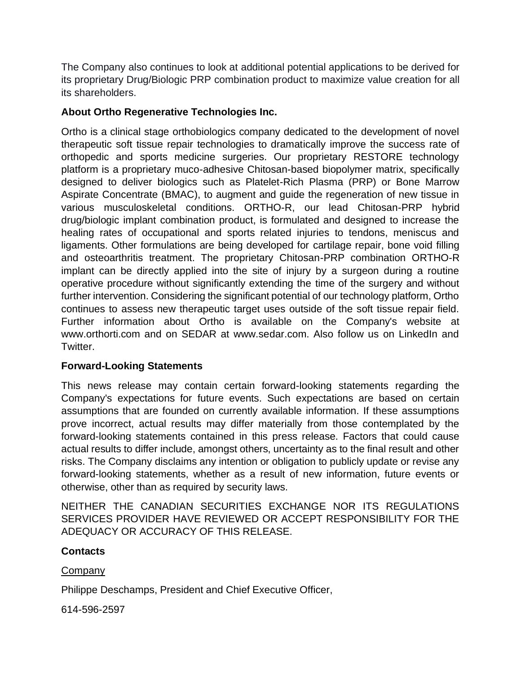The Company also continues to look at additional potential applications to be derived for its proprietary Drug/Biologic PRP combination product to maximize value creation for all its shareholders.

## **About Ortho Regenerative Technologies Inc.**

Ortho is a clinical stage orthobiologics company dedicated to the development of novel therapeutic soft tissue repair technologies to dramatically improve the success rate of orthopedic and sports medicine surgeries. Our proprietary RESTORE technology platform is a proprietary muco-adhesive Chitosan-based biopolymer matrix, specifically designed to deliver biologics such as Platelet-Rich Plasma (PRP) or Bone Marrow Aspirate Concentrate (BMAC), to augment and guide the regeneration of new tissue in various musculoskeletal conditions. ORTHO-R, our lead Chitosan-PRP hybrid drug/biologic implant combination product, is formulated and designed to increase the healing rates of occupational and sports related injuries to tendons, meniscus and ligaments. Other formulations are being developed for cartilage repair, bone void filling and osteoarthritis treatment. The proprietary Chitosan-PRP combination ORTHO-R implant can be directly applied into the site of injury by a surgeon during a routine operative procedure without significantly extending the time of the surgery and without further intervention. Considering the significant potential of our technology platform, Ortho continues to assess new therapeutic target uses outside of the soft tissue repair field. Further information about Ortho is available on the Company's website at www.orthorti.com and on SEDAR at www.sedar.com. Also follow us on LinkedIn and Twitter.

## **Forward-Looking Statements**

This news release may contain certain forward-looking statements regarding the Company's expectations for future events. Such expectations are based on certain assumptions that are founded on currently available information. If these assumptions prove incorrect, actual results may differ materially from those contemplated by the forward-looking statements contained in this press release. Factors that could cause actual results to differ include, amongst others, uncertainty as to the final result and other risks. The Company disclaims any intention or obligation to publicly update or revise any forward-looking statements, whether as a result of new information, future events or otherwise, other than as required by security laws.

NEITHER THE CANADIAN SECURITIES EXCHANGE NOR ITS REGULATIONS SERVICES PROVIDER HAVE REVIEWED OR ACCEPT RESPONSIBILITY FOR THE ADEQUACY OR ACCURACY OF THIS RELEASE.

#### **Contacts**

#### Company

Philippe Deschamps, President and Chief Executive Officer,

614-596-2597